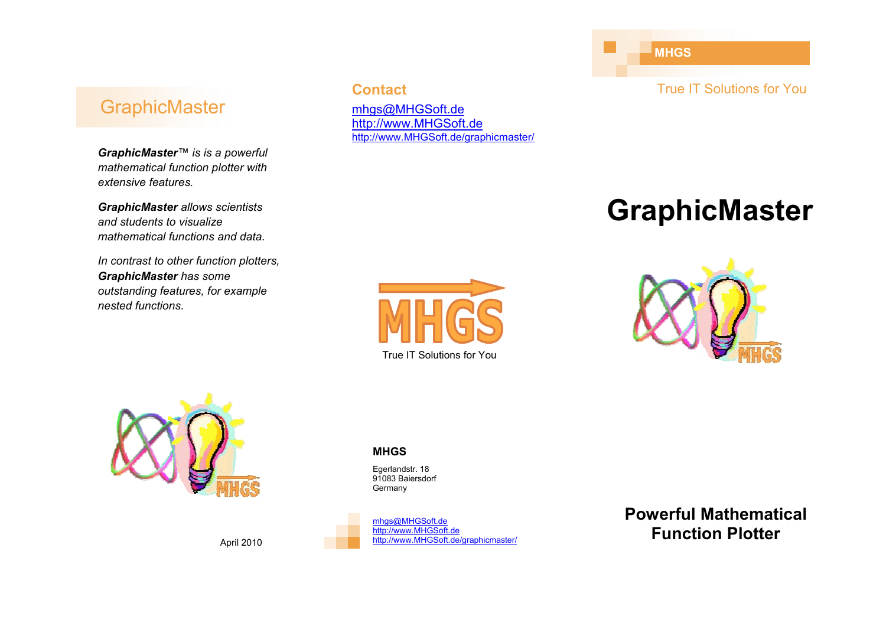### **GraphicMaster**

*GraphicMaster™ is is a powerful mathematical function plotter with extensive features.* 

*GraphicMaster allows scientists and students to visualize mathematical functions and data.* 

*In contrast to other function plotters, GraphicMaster has some outstanding features, for example nested functions.*

### **Contact**

mhgs@MHGSoft.de http://www.MHGSoft.dehttp://www.MHGSoft.de/graphicmaster/ **MHGS** 

True IT Solutions for You

# **GraphicMaster**







#### **MHGS**

Egerlandstr. 18 91083 Baiersdorf **Germany** 

mhgs@MHGSoft.dehttp://www.MHGSoft.de

http://www.MHGSoft.de/graphicmaster/



**Powerful Mathematical Function Plotter** 

April 2010